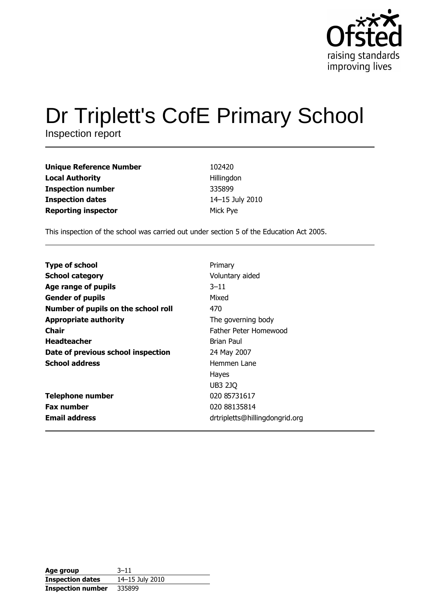

# Dr Triplett's CofE Primary School

Inspection report

| <b>Unique Reference Number</b> | 102420          |
|--------------------------------|-----------------|
| <b>Local Authority</b>         | Hillingdon      |
| <b>Inspection number</b>       | 335899          |
| <b>Inspection dates</b>        | 14-15 July 2010 |
| <b>Reporting inspector</b>     | Mick Pye        |

This inspection of the school was carried out under section 5 of the Education Act 2005.

| <b>Type of school</b>               | Primary                        |
|-------------------------------------|--------------------------------|
| <b>School category</b>              | Voluntary aided                |
| Age range of pupils                 | $3 - 11$                       |
| <b>Gender of pupils</b>             | Mixed                          |
| Number of pupils on the school roll | 470                            |
| <b>Appropriate authority</b>        | The governing body             |
| Chair                               | Father Peter Homewood          |
| <b>Headteacher</b>                  | Brian Paul                     |
| Date of previous school inspection  | 24 May 2007                    |
| <b>School address</b>               | Hemmen Lane                    |
|                                     | Hayes                          |
|                                     | <b>UB3 2JQ</b>                 |
| <b>Telephone number</b>             | 020 85731617                   |
| <b>Fax number</b>                   | 020 88135814                   |
| <b>Email address</b>                | drtripletts@hillingdongrid.org |

| Age group                | $3 - 11$        |
|--------------------------|-----------------|
| <b>Inspection dates</b>  | 14-15 July 2010 |
| <b>Inspection number</b> | 335899          |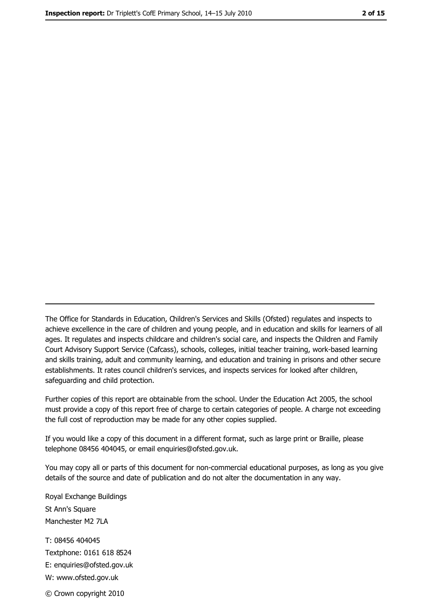The Office for Standards in Education, Children's Services and Skills (Ofsted) regulates and inspects to achieve excellence in the care of children and young people, and in education and skills for learners of all ages. It regulates and inspects childcare and children's social care, and inspects the Children and Family Court Advisory Support Service (Cafcass), schools, colleges, initial teacher training, work-based learning and skills training, adult and community learning, and education and training in prisons and other secure establishments. It rates council children's services, and inspects services for looked after children, safequarding and child protection.

Further copies of this report are obtainable from the school. Under the Education Act 2005, the school must provide a copy of this report free of charge to certain categories of people. A charge not exceeding the full cost of reproduction may be made for any other copies supplied.

If you would like a copy of this document in a different format, such as large print or Braille, please telephone 08456 404045, or email enquiries@ofsted.gov.uk.

You may copy all or parts of this document for non-commercial educational purposes, as long as you give details of the source and date of publication and do not alter the documentation in any way.

Royal Exchange Buildings St Ann's Square Manchester M2 7LA T: 08456 404045 Textphone: 0161 618 8524 E: enquiries@ofsted.gov.uk W: www.ofsted.gov.uk © Crown copyright 2010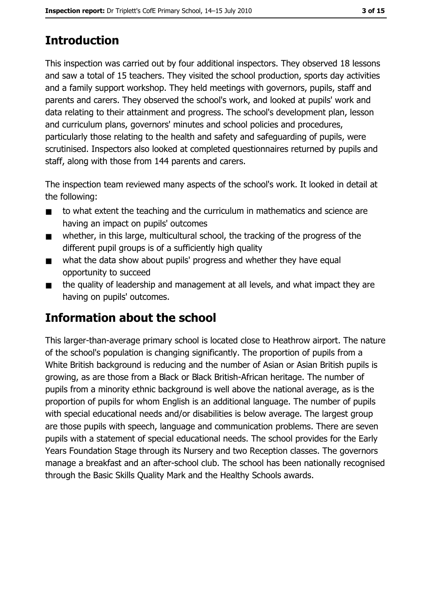# **Introduction**

This inspection was carried out by four additional inspectors. They observed 18 lessons and saw a total of 15 teachers. They visited the school production, sports day activities and a family support workshop. They held meetings with governors, pupils, staff and parents and carers. They observed the school's work, and looked at pupils' work and data relating to their attainment and progress. The school's development plan, lesson and curriculum plans, governors' minutes and school policies and procedures, particularly those relating to the health and safety and safeguarding of pupils, were scrutinised. Inspectors also looked at completed questionnaires returned by pupils and staff, along with those from 144 parents and carers.

The inspection team reviewed many aspects of the school's work. It looked in detail at the following:

- to what extent the teaching and the curriculum in mathematics and science are  $\blacksquare$ having an impact on pupils' outcomes
- whether, in this large, multicultural school, the tracking of the progress of the  $\blacksquare$ different pupil groups is of a sufficiently high quality
- what the data show about pupils' progress and whether they have equal  $\blacksquare$ opportunity to succeed
- the quality of leadership and management at all levels, and what impact they are  $\blacksquare$ having on pupils' outcomes.

## **Information about the school**

This larger-than-average primary school is located close to Heathrow airport. The nature of the school's population is changing significantly. The proportion of pupils from a White British background is reducing and the number of Asian or Asian British pupils is growing, as are those from a Black or Black British-African heritage. The number of pupils from a minority ethnic background is well above the national average, as is the proportion of pupils for whom English is an additional language. The number of pupils with special educational needs and/or disabilities is below average. The largest group are those pupils with speech, language and communication problems. There are seven pupils with a statement of special educational needs. The school provides for the Early Years Foundation Stage through its Nursery and two Reception classes. The governors manage a breakfast and an after-school club. The school has been nationally recognised through the Basic Skills Quality Mark and the Healthy Schools awards.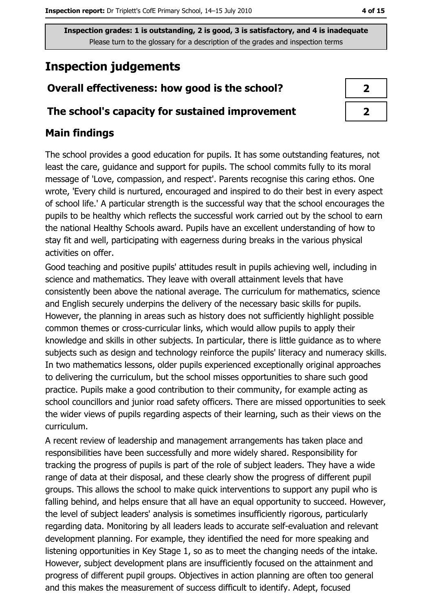## **Inspection judgements**

#### Overall effectiveness: how good is the school?

#### The school's capacity for sustained improvement

#### **Main findings**

The school provides a good education for pupils. It has some outstanding features, not least the care, guidance and support for pupils. The school commits fully to its moral message of 'Love, compassion, and respect'. Parents recognise this caring ethos. One wrote, 'Every child is nurtured, encouraged and inspired to do their best in every aspect of school life.' A particular strength is the successful way that the school encourages the pupils to be healthy which reflects the successful work carried out by the school to earn the national Healthy Schools award. Pupils have an excellent understanding of how to stay fit and well, participating with eagerness during breaks in the various physical activities on offer.

Good teaching and positive pupils' attitudes result in pupils achieving well, including in science and mathematics. They leave with overall attainment levels that have consistently been above the national average. The curriculum for mathematics, science and English securely underpins the delivery of the necessary basic skills for pupils. However, the planning in areas such as history does not sufficiently highlight possible common themes or cross-curricular links, which would allow pupils to apply their knowledge and skills in other subjects. In particular, there is little guidance as to where subjects such as design and technology reinforce the pupils' literacy and numeracy skills. In two mathematics lessons, older pupils experienced exceptionally original approaches to delivering the curriculum, but the school misses opportunities to share such good practice. Pupils make a good contribution to their community, for example acting as school councillors and junior road safety officers. There are missed opportunities to seek the wider views of pupils regarding aspects of their learning, such as their views on the curriculum.

A recent review of leadership and management arrangements has taken place and responsibilities have been successfully and more widely shared. Responsibility for tracking the progress of pupils is part of the role of subject leaders. They have a wide range of data at their disposal, and these clearly show the progress of different pupil groups. This allows the school to make quick interventions to support any pupil who is falling behind, and helps ensure that all have an equal opportunity to succeed. However, the level of subject leaders' analysis is sometimes insufficiently rigorous, particularly regarding data. Monitoring by all leaders leads to accurate self-evaluation and relevant development planning. For example, they identified the need for more speaking and listening opportunities in Key Stage 1, so as to meet the changing needs of the intake. However, subject development plans are insufficiently focused on the attainment and progress of different pupil groups. Objectives in action planning are often too general and this makes the measurement of success difficult to identify. Adept, focused

| 7 |  |
|---|--|
| 7 |  |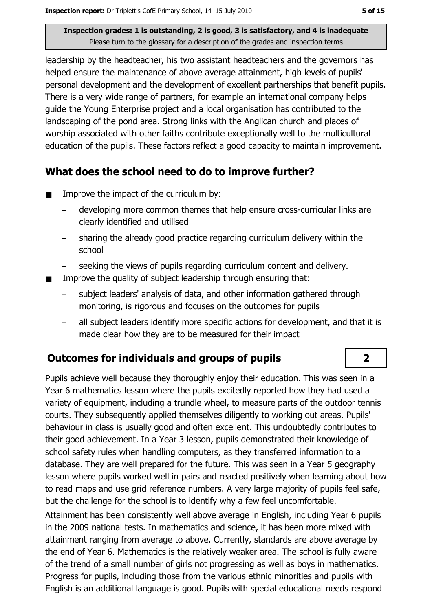leadership by the headteacher, his two assistant headteachers and the governors has helped ensure the maintenance of above average attainment, high levels of pupils' personal development and the development of excellent partnerships that benefit pupils. There is a very wide range of partners, for example an international company helps quide the Young Enterprise project and a local organisation has contributed to the landscaping of the pond area. Strong links with the Anglican church and places of worship associated with other faiths contribute exceptionally well to the multicultural education of the pupils. These factors reflect a good capacity to maintain improvement.

#### What does the school need to do to improve further?

- Improve the impact of the curriculum by:  $\blacksquare$ 
	- developing more common themes that help ensure cross-curricular links are clearly identified and utilised
	- sharing the already good practice regarding curriculum delivery within the school
	- seeking the views of pupils regarding curriculum content and delivery.
- Improve the quality of subject leadership through ensuring that:
	- subject leaders' analysis of data, and other information gathered through monitoring, is rigorous and focuses on the outcomes for pupils
	- all subject leaders identify more specific actions for development, and that it is made clear how they are to be measured for their impact

## **Outcomes for individuals and groups of pupils**

Pupils achieve well because they thoroughly eniov their education. This was seen in a Year 6 mathematics lesson where the pupils excitedly reported how they had used a variety of equipment, including a trundle wheel, to measure parts of the outdoor tennis courts. They subsequently applied themselves diligently to working out areas. Pupils' behaviour in class is usually good and often excellent. This undoubtedly contributes to their good achievement. In a Year 3 lesson, pupils demonstrated their knowledge of school safety rules when handling computers, as they transferred information to a database. They are well prepared for the future. This was seen in a Year 5 geography lesson where pupils worked well in pairs and reacted positively when learning about how to read maps and use grid reference numbers. A very large majority of pupils feel safe, but the challenge for the school is to identify why a few feel uncomfortable.

Attainment has been consistently well above average in English, including Year 6 pupils in the 2009 national tests. In mathematics and science, it has been more mixed with attainment ranging from average to above. Currently, standards are above average by the end of Year 6. Mathematics is the relatively weaker area. The school is fully aware of the trend of a small number of girls not progressing as well as boys in mathematics. Progress for pupils, including those from the various ethnic minorities and pupils with English is an additional language is good. Pupils with special educational needs respond

 $\overline{2}$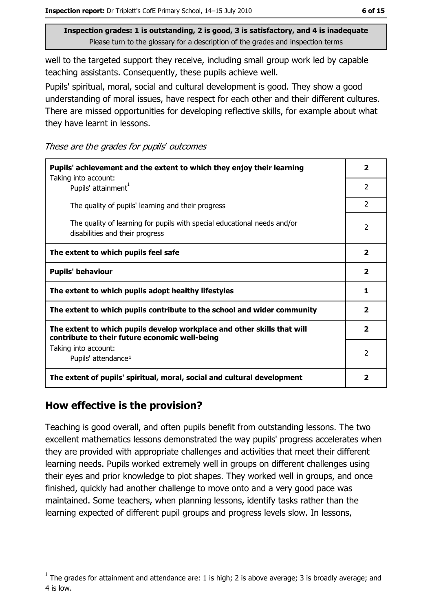well to the targeted support they receive, including small group work led by capable teaching assistants. Consequently, these pupils achieve well.

Pupils' spiritual, moral, social and cultural development is good. They show a good understanding of moral issues, have respect for each other and their different cultures. There are missed opportunities for developing reflective skills, for example about what they have learnt in lessons.

These are the grades for pupils' outcomes

| Pupils' achievement and the extent to which they enjoy their learning<br>Taking into account:                             |               |  |  |  |
|---------------------------------------------------------------------------------------------------------------------------|---------------|--|--|--|
| Pupils' attainment <sup>1</sup>                                                                                           |               |  |  |  |
| The quality of pupils' learning and their progress                                                                        | $\mathcal{P}$ |  |  |  |
| The quality of learning for pupils with special educational needs and/or<br>disabilities and their progress               |               |  |  |  |
| The extent to which pupils feel safe                                                                                      |               |  |  |  |
| <b>Pupils' behaviour</b>                                                                                                  |               |  |  |  |
| The extent to which pupils adopt healthy lifestyles                                                                       |               |  |  |  |
| The extent to which pupils contribute to the school and wider community                                                   |               |  |  |  |
| The extent to which pupils develop workplace and other skills that will<br>contribute to their future economic well-being |               |  |  |  |
| Taking into account:<br>Pupils' attendance <sup>1</sup>                                                                   |               |  |  |  |
| The extent of pupils' spiritual, moral, social and cultural development                                                   | 2             |  |  |  |

#### How effective is the provision?

Teaching is good overall, and often pupils benefit from outstanding lessons. The two excellent mathematics lessons demonstrated the way pupils' progress accelerates when they are provided with appropriate challenges and activities that meet their different learning needs. Pupils worked extremely well in groups on different challenges using their eyes and prior knowledge to plot shapes. They worked well in groups, and once finished, quickly had another challenge to move onto and a very good pace was maintained. Some teachers, when planning lessons, identify tasks rather than the learning expected of different pupil groups and progress levels slow. In lessons,

The grades for attainment and attendance are: 1 is high; 2 is above average; 3 is broadly average; and 4 is low.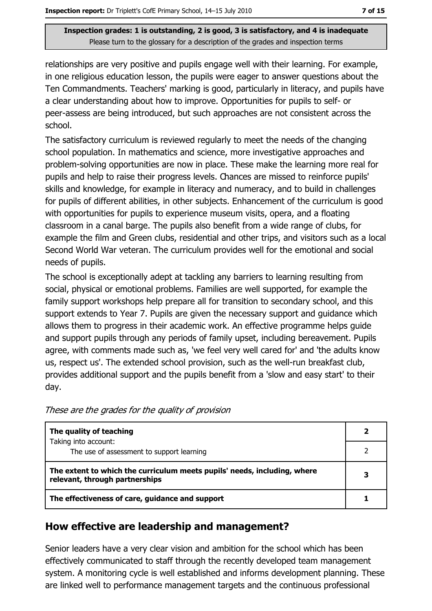relationships are very positive and pupils engage well with their learning. For example, in one religious education lesson, the pupils were eager to answer questions about the Ten Commandments. Teachers' marking is good, particularly in literacy, and pupils have a clear understanding about how to improve. Opportunities for pupils to self- or peer-assess are being introduced, but such approaches are not consistent across the school.

The satisfactory curriculum is reviewed regularly to meet the needs of the changing school population. In mathematics and science, more investigative approaches and problem-solving opportunities are now in place. These make the learning more real for pupils and help to raise their progress levels. Chances are missed to reinforce pupils' skills and knowledge, for example in literacy and numeracy, and to build in challenges for pupils of different abilities, in other subjects. Enhancement of the curriculum is good with opportunities for pupils to experience museum visits, opera, and a floating classroom in a canal barge. The pupils also benefit from a wide range of clubs, for example the film and Green clubs, residential and other trips, and visitors such as a local Second World War veteran. The curriculum provides well for the emotional and social needs of pupils.

The school is exceptionally adept at tackling any barriers to learning resulting from social, physical or emotional problems. Families are well supported, for example the family support workshops help prepare all for transition to secondary school, and this support extends to Year 7. Pupils are given the necessary support and guidance which allows them to progress in their academic work. An effective programme helps quide and support pupils through any periods of family upset, including bereavement. Pupils agree, with comments made such as, 'we feel very well cared for' and 'the adults know us, respect us'. The extended school provision, such as the well-run breakfast club, provides additional support and the pupils benefit from a 'slow and easy start' to their day.

|  | These are the grades for the quality of provision |  |  |  |
|--|---------------------------------------------------|--|--|--|
|--|---------------------------------------------------|--|--|--|

| The quality of teaching<br>Taking into account:                                                            |  |  |  |  |
|------------------------------------------------------------------------------------------------------------|--|--|--|--|
| The use of assessment to support learning                                                                  |  |  |  |  |
| The extent to which the curriculum meets pupils' needs, including, where<br>relevant, through partnerships |  |  |  |  |
| The effectiveness of care, guidance and support                                                            |  |  |  |  |

#### How effective are leadership and management?

Senior leaders have a very clear vision and ambition for the school which has been effectively communicated to staff through the recently developed team management system. A monitoring cycle is well established and informs development planning. These are linked well to performance management targets and the continuous professional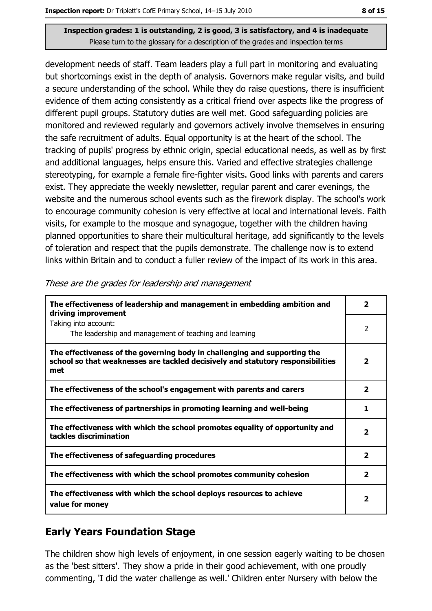development needs of staff. Team leaders play a full part in monitoring and evaluating but shortcomings exist in the depth of analysis. Governors make regular visits, and build a secure understanding of the school. While they do raise questions, there is insufficient evidence of them acting consistently as a critical friend over aspects like the progress of different pupil groups. Statutory duties are well met. Good safeguarding policies are monitored and reviewed regularly and governors actively involve themselves in ensuring the safe recruitment of adults. Equal opportunity is at the heart of the school. The tracking of pupils' progress by ethnic origin, special educational needs, as well as by first and additional languages, helps ensure this. Varied and effective strategies challenge stereotyping, for example a female fire-fighter visits. Good links with parents and carers exist. They appreciate the weekly newsletter, regular parent and carer evenings, the website and the numerous school events such as the firework display. The school's work to encourage community cohesion is very effective at local and international levels. Faith visits, for example to the mosque and synagogue, together with the children having planned opportunities to share their multicultural heritage, add significantly to the levels of toleration and respect that the pupils demonstrate. The challenge now is to extend links within Britain and to conduct a fuller review of the impact of its work in this area.

| The effectiveness of leadership and management in embedding ambition and<br>driving improvement                                                                     |                          |  |  |  |  |
|---------------------------------------------------------------------------------------------------------------------------------------------------------------------|--------------------------|--|--|--|--|
| Taking into account:<br>The leadership and management of teaching and learning                                                                                      | 2                        |  |  |  |  |
| The effectiveness of the governing body in challenging and supporting the<br>school so that weaknesses are tackled decisively and statutory responsibilities<br>met | $\overline{\phantom{a}}$ |  |  |  |  |
| The effectiveness of the school's engagement with parents and carers                                                                                                | 2                        |  |  |  |  |
| The effectiveness of partnerships in promoting learning and well-being                                                                                              | 1                        |  |  |  |  |
| The effectiveness with which the school promotes equality of opportunity and<br>tackles discrimination                                                              | $\overline{\mathbf{2}}$  |  |  |  |  |
| The effectiveness of safeguarding procedures                                                                                                                        | $\overline{\mathbf{2}}$  |  |  |  |  |
| The effectiveness with which the school promotes community cohesion                                                                                                 | 2                        |  |  |  |  |
| The effectiveness with which the school deploys resources to achieve<br>value for money                                                                             | $\overline{\mathbf{2}}$  |  |  |  |  |

These are the grades for leadership and management

## **Early Years Foundation Stage**

The children show high levels of enjoyment, in one session eagerly waiting to be chosen as the 'best sitters'. They show a pride in their good achievement, with one proudly commenting, 'I did the water challenge as well.' Children enter Nursery with below the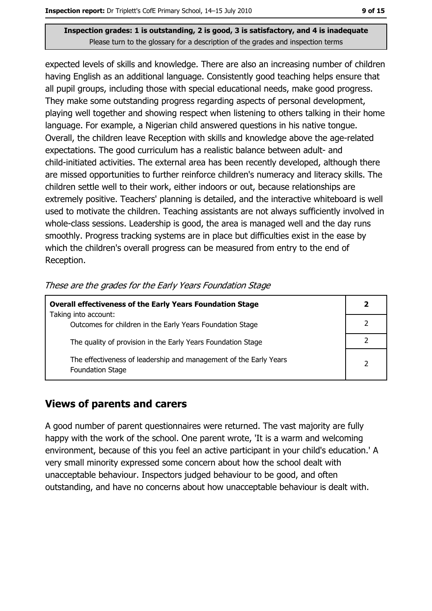expected levels of skills and knowledge. There are also an increasing number of children having English as an additional language. Consistently good teaching helps ensure that all pupil groups, including those with special educational needs, make good progress. They make some outstanding progress regarding aspects of personal development, playing well together and showing respect when listening to others talking in their home language. For example, a Nigerian child answered questions in his native tongue. Overall, the children leave Reception with skills and knowledge above the age-related expectations. The good curriculum has a realistic balance between adult- and child-initiated activities. The external area has been recently developed, although there are missed opportunities to further reinforce children's numeracy and literacy skills. The children settle well to their work, either indoors or out, because relationships are extremely positive. Teachers' planning is detailed, and the interactive whiteboard is well used to motivate the children. Teaching assistants are not always sufficiently involved in whole-class sessions. Leadership is good, the area is managed well and the day runs smoothly. Progress tracking systems are in place but difficulties exist in the ease by which the children's overall progress can be measured from entry to the end of Reception.

| These are the grades for the Early Years Foundation Stage |  |  |  |
|-----------------------------------------------------------|--|--|--|
|                                                           |  |  |  |

| <b>Overall effectiveness of the Early Years Foundation Stage</b><br>Taking into account:     |               |  |  |  |
|----------------------------------------------------------------------------------------------|---------------|--|--|--|
|                                                                                              |               |  |  |  |
| Outcomes for children in the Early Years Foundation Stage                                    |               |  |  |  |
| The quality of provision in the Early Years Foundation Stage                                 |               |  |  |  |
| The effectiveness of leadership and management of the Early Years<br><b>Foundation Stage</b> | $\mathcal{P}$ |  |  |  |

#### **Views of parents and carers**

A good number of parent questionnaires were returned. The vast majority are fully happy with the work of the school. One parent wrote, 'It is a warm and welcoming environment, because of this you feel an active participant in your child's education.' A very small minority expressed some concern about how the school dealt with unacceptable behaviour. Inspectors judged behaviour to be good, and often outstanding, and have no concerns about how unacceptable behaviour is dealt with.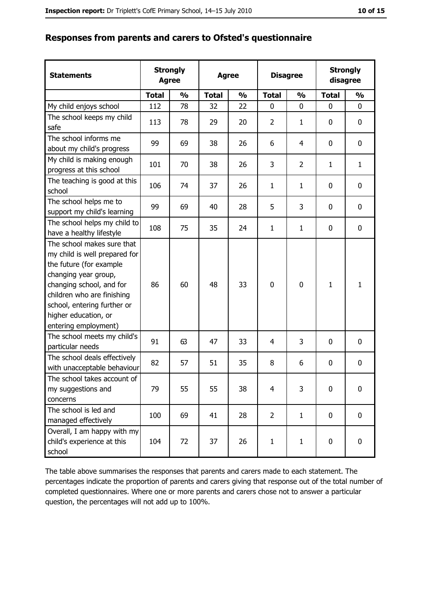|  |  |  | Responses from parents and carers to Ofsted's questionnaire |
|--|--|--|-------------------------------------------------------------|
|  |  |  |                                                             |

| <b>Statements</b>                                                                                                                                                                                                                                       | <b>Agree</b> | <b>Strongly</b> | <b>Agree</b> |               | <b>Disagree</b> |                | <b>Strongly</b><br>disagree |               |
|---------------------------------------------------------------------------------------------------------------------------------------------------------------------------------------------------------------------------------------------------------|--------------|-----------------|--------------|---------------|-----------------|----------------|-----------------------------|---------------|
|                                                                                                                                                                                                                                                         | <b>Total</b> | $\frac{0}{0}$   | <b>Total</b> | $\frac{0}{0}$ | <b>Total</b>    | $\frac{0}{0}$  | <b>Total</b>                | $\frac{0}{0}$ |
| My child enjoys school                                                                                                                                                                                                                                  | 112          | 78              | 32           | 22            | 0               | $\mathbf 0$    | 0                           | 0             |
| The school keeps my child<br>safe                                                                                                                                                                                                                       | 113          | 78              | 29           | 20            | $\overline{2}$  | 1              | 0                           | 0             |
| The school informs me<br>about my child's progress                                                                                                                                                                                                      | 99           | 69              | 38           | 26            | 6               | 4              | 0                           | $\mathbf 0$   |
| My child is making enough<br>progress at this school                                                                                                                                                                                                    | 101          | 70              | 38           | 26            | 3               | $\overline{2}$ | $\mathbf{1}$                | $\mathbf{1}$  |
| The teaching is good at this<br>school                                                                                                                                                                                                                  | 106          | 74              | 37           | 26            | $\mathbf{1}$    | 1              | 0                           | 0             |
| The school helps me to<br>support my child's learning                                                                                                                                                                                                   | 99           | 69              | 40           | 28            | 5               | 3              | 0                           | 0             |
| The school helps my child to<br>have a healthy lifestyle                                                                                                                                                                                                | 108          | 75              | 35           | 24            | $\mathbf{1}$    | $\mathbf{1}$   | 0                           | 0             |
| The school makes sure that<br>my child is well prepared for<br>the future (for example<br>changing year group,<br>changing school, and for<br>children who are finishing<br>school, entering further or<br>higher education, or<br>entering employment) | 86           | 60              | 48           | 33            | $\mathbf 0$     | $\mathbf 0$    | $\mathbf{1}$                | $\mathbf{1}$  |
| The school meets my child's<br>particular needs                                                                                                                                                                                                         | 91           | 63              | 47           | 33            | 4               | 3              | 0                           | 0             |
| The school deals effectively<br>with unacceptable behaviour                                                                                                                                                                                             | 82           | 57              | 51           | 35            | 8               | 6              | 0                           | 0             |
| The school takes account of<br>my suggestions and<br>concerns                                                                                                                                                                                           | 79           | 55              | 55           | 38            | $\overline{4}$  | 3              | $\overline{0}$              | 0             |
| The school is led and<br>managed effectively                                                                                                                                                                                                            | 100          | 69              | 41           | 28            | $\overline{2}$  | $\mathbf{1}$   | 0                           | 0             |
| Overall, I am happy with my<br>child's experience at this<br>school                                                                                                                                                                                     | 104          | 72              | 37           | 26            | $\mathbf{1}$    | $\mathbf{1}$   | 0                           | 0             |

The table above summarises the responses that parents and carers made to each statement. The percentages indicate the proportion of parents and carers giving that response out of the total number of completed questionnaires. Where one or more parents and carers chose not to answer a particular question, the percentages will not add up to 100%.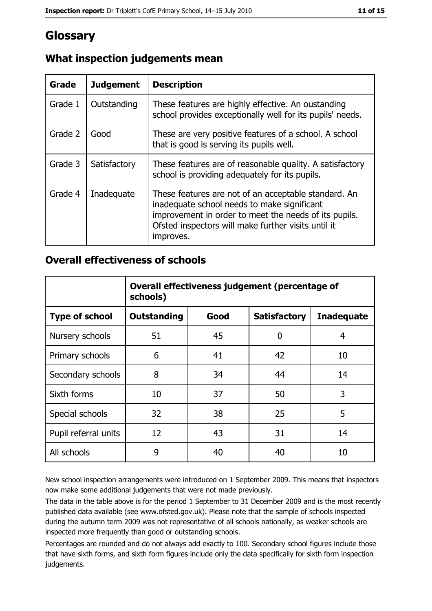## Glossary

| Grade   | <b>Judgement</b> | <b>Description</b>                                                                                                                                                                                                               |
|---------|------------------|----------------------------------------------------------------------------------------------------------------------------------------------------------------------------------------------------------------------------------|
| Grade 1 | Outstanding      | These features are highly effective. An oustanding<br>school provides exceptionally well for its pupils' needs.                                                                                                                  |
| Grade 2 | Good             | These are very positive features of a school. A school<br>that is good is serving its pupils well.                                                                                                                               |
| Grade 3 | Satisfactory     | These features are of reasonable quality. A satisfactory<br>school is providing adequately for its pupils.                                                                                                                       |
| Grade 4 | Inadequate       | These features are not of an acceptable standard. An<br>inadequate school needs to make significant<br>improvement in order to meet the needs of its pupils.<br>Ofsted inspectors will make further visits until it<br>improves. |

## What inspection judgements mean

#### **Overall effectiveness of schools**

|                       | Overall effectiveness judgement (percentage of<br>schools) |      |                     |                   |  |  |
|-----------------------|------------------------------------------------------------|------|---------------------|-------------------|--|--|
| <b>Type of school</b> | <b>Outstanding</b>                                         | Good | <b>Satisfactory</b> | <b>Inadequate</b> |  |  |
| Nursery schools       | 51                                                         | 45   | 0                   | 4                 |  |  |
| Primary schools       | 6                                                          | 41   | 42                  | 10                |  |  |
| Secondary schools     | 8                                                          | 34   | 44                  | 14                |  |  |
| Sixth forms           | 10                                                         | 37   | 50                  | 3                 |  |  |
| Special schools       | 32                                                         | 38   | 25                  | 5                 |  |  |
| Pupil referral units  | 12                                                         | 43   | 31                  | 14                |  |  |
| All schools           | 9                                                          | 40   | 40                  | 10                |  |  |

New school inspection arrangements were introduced on 1 September 2009. This means that inspectors now make some additional judgements that were not made previously.

The data in the table above is for the period 1 September to 31 December 2009 and is the most recently published data available (see www.ofsted.gov.uk). Please note that the sample of schools inspected during the autumn term 2009 was not representative of all schools nationally, as weaker schools are inspected more frequently than good or outstanding schools.

Percentages are rounded and do not always add exactly to 100. Secondary school figures include those that have sixth forms, and sixth form figures include only the data specifically for sixth form inspection judgements.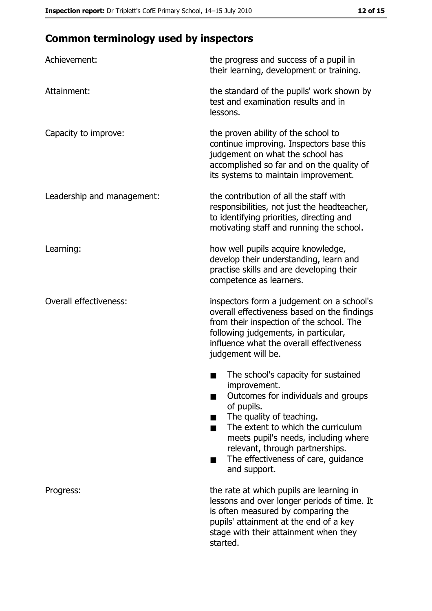## **Common terminology used by inspectors**

| Achievement:                  | the progress and success of a pupil in<br>their learning, development or training.                                                                                                                                                                                                                           |  |  |
|-------------------------------|--------------------------------------------------------------------------------------------------------------------------------------------------------------------------------------------------------------------------------------------------------------------------------------------------------------|--|--|
| Attainment:                   | the standard of the pupils' work shown by<br>test and examination results and in<br>lessons.                                                                                                                                                                                                                 |  |  |
| Capacity to improve:          | the proven ability of the school to<br>continue improving. Inspectors base this<br>judgement on what the school has<br>accomplished so far and on the quality of<br>its systems to maintain improvement.                                                                                                     |  |  |
| Leadership and management:    | the contribution of all the staff with<br>responsibilities, not just the headteacher,<br>to identifying priorities, directing and<br>motivating staff and running the school.                                                                                                                                |  |  |
| Learning:                     | how well pupils acquire knowledge,<br>develop their understanding, learn and<br>practise skills and are developing their<br>competence as learners.                                                                                                                                                          |  |  |
| <b>Overall effectiveness:</b> | inspectors form a judgement on a school's<br>overall effectiveness based on the findings<br>from their inspection of the school. The<br>following judgements, in particular,<br>influence what the overall effectiveness<br>judgement will be.                                                               |  |  |
|                               | The school's capacity for sustained<br>improvement.<br>Outcomes for individuals and groups<br>of pupils.<br>The quality of teaching.<br>The extent to which the curriculum<br>meets pupil's needs, including where<br>relevant, through partnerships.<br>The effectiveness of care, guidance<br>and support. |  |  |
| Progress:                     | the rate at which pupils are learning in<br>lessons and over longer periods of time. It<br>is often measured by comparing the<br>pupils' attainment at the end of a key<br>stage with their attainment when they<br>started.                                                                                 |  |  |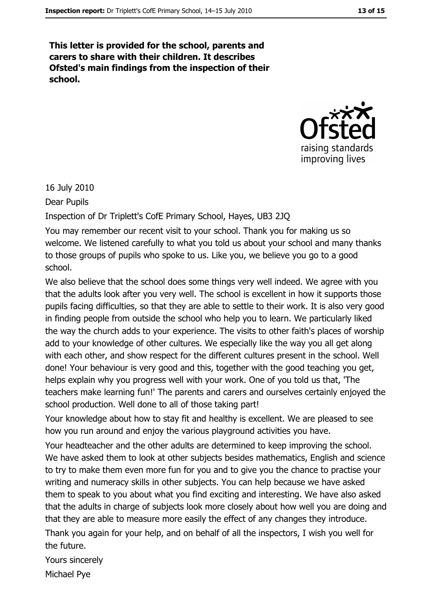This letter is provided for the school, parents and carers to share with their children. It describes Ofsted's main findings from the inspection of their school.



16 July 2010

Dear Pupils

Inspection of Dr Triplett's CofE Primary School, Hayes, UB3 2JQ

You may remember our recent visit to your school. Thank you for making us so welcome. We listened carefully to what you told us about your school and many thanks to those groups of pupils who spoke to us. Like you, we believe you go to a good school.

We also believe that the school does some things very well indeed. We agree with you that the adults look after you very well. The school is excellent in how it supports those pupils facing difficulties, so that they are able to settle to their work. It is also very good in finding people from outside the school who help you to learn. We particularly liked the way the church adds to your experience. The visits to other faith's places of worship add to your knowledge of other cultures. We especially like the way you all get along with each other, and show respect for the different cultures present in the school. Well done! Your behaviour is very good and this, together with the good teaching you get, helps explain why you progress well with your work. One of you told us that, 'The teachers make learning fun!' The parents and carers and ourselves certainly enjoyed the school production. Well done to all of those taking part!

Your knowledge about how to stay fit and healthy is excellent. We are pleased to see how you run around and enjoy the various playground activities you have.

Your headteacher and the other adults are determined to keep improving the school. We have asked them to look at other subjects besides mathematics, English and science to try to make them even more fun for you and to give you the chance to practise your writing and numeracy skills in other subjects. You can help because we have asked them to speak to you about what you find exciting and interesting. We have also asked that the adults in charge of subjects look more closely about how well you are doing and that they are able to measure more easily the effect of any changes they introduce.

Thank you again for your help, and on behalf of all the inspectors, I wish you well for the future.

Yours sincerely Michael Pye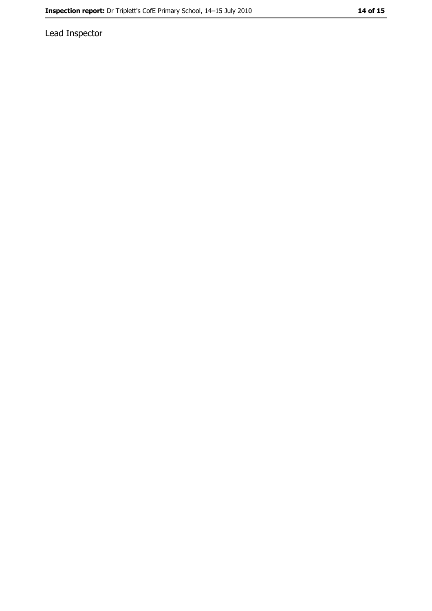Lead Inspector